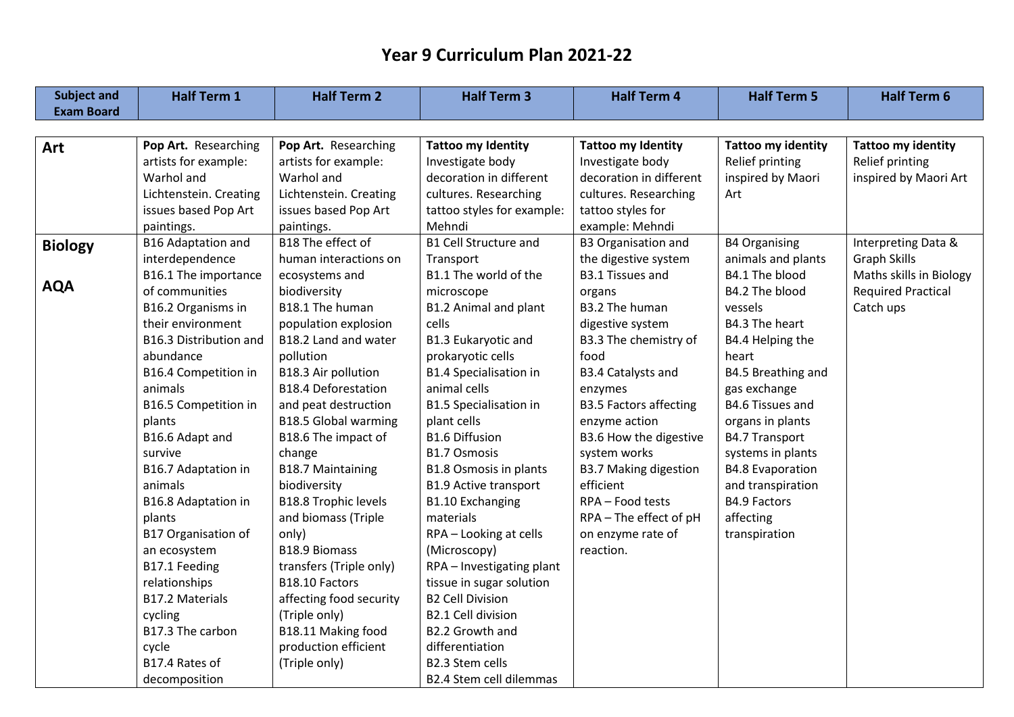| <b>Subject and</b> | <b>Half Term 1</b>         | <b>Half Term 2</b>          | <b>Half Term 3</b>             | <b>Half Term 4</b>            | <b>Half Term 5</b>        | <b>Half Term 6</b>        |
|--------------------|----------------------------|-----------------------------|--------------------------------|-------------------------------|---------------------------|---------------------------|
| <b>Exam Board</b>  |                            |                             |                                |                               |                           |                           |
|                    |                            |                             |                                |                               |                           |                           |
| Art                | Pop Art. Researching       | Pop Art. Researching        | <b>Tattoo my Identity</b>      | <b>Tattoo my Identity</b>     | <b>Tattoo my identity</b> | <b>Tattoo my identity</b> |
|                    | artists for example:       | artists for example:        | Investigate body               | Investigate body              | Relief printing           | Relief printing           |
|                    | Warhol and                 | Warhol and                  | decoration in different        | decoration in different       | inspired by Maori         | inspired by Maori Art     |
|                    | Lichtenstein. Creating     | Lichtenstein. Creating      | cultures. Researching          | cultures. Researching         | Art                       |                           |
|                    | issues based Pop Art       | issues based Pop Art        | tattoo styles for example:     | tattoo styles for             |                           |                           |
|                    | paintings.                 | paintings.                  | Mehndi                         | example: Mehndi               |                           |                           |
| <b>Biology</b>     | B16 Adaptation and         | B18 The effect of           | <b>B1 Cell Structure and</b>   | <b>B3 Organisation and</b>    | <b>B4 Organising</b>      | Interpreting Data &       |
|                    | interdependence            | human interactions on       | Transport                      | the digestive system          | animals and plants        | <b>Graph Skills</b>       |
|                    | B16.1 The importance       | ecosystems and              | B1.1 The world of the          | <b>B3.1 Tissues and</b>       | B4.1 The blood            | Maths skills in Biology   |
| <b>AQA</b>         | of communities             | biodiversity                | microscope                     | organs                        | B4.2 The blood            | <b>Required Practical</b> |
|                    | B16.2 Organisms in         | B18.1 The human             | B1.2 Animal and plant          | B3.2 The human                | vessels                   | Catch ups                 |
|                    | their environment          | population explosion        | cells                          | digestive system              | B4.3 The heart            |                           |
|                    | B16.3 Distribution and     | B18.2 Land and water        | B1.3 Eukaryotic and            | B3.3 The chemistry of         | B4.4 Helping the          |                           |
|                    | abundance                  | pollution                   | prokaryotic cells              | food                          | heart                     |                           |
|                    | B16.4 Competition in       | B18.3 Air pollution         | <b>B1.4 Specialisation in</b>  | <b>B3.4 Catalysts and</b>     | B4.5 Breathing and        |                           |
|                    | animals                    | <b>B18.4 Deforestation</b>  | animal cells                   | enzymes                       | gas exchange              |                           |
|                    | B16.5 Competition in       | and peat destruction        | B1.5 Specialisation in         | <b>B3.5 Factors affecting</b> | <b>B4.6 Tissues and</b>   |                           |
|                    | plants                     | <b>B18.5 Global warming</b> | plant cells                    | enzyme action                 | organs in plants          |                           |
|                    | B16.6 Adapt and            | B18.6 The impact of         | <b>B1.6 Diffusion</b>          | B3.6 How the digestive        | <b>B4.7 Transport</b>     |                           |
|                    | survive                    | change                      | <b>B1.7 Osmosis</b>            | system works                  | systems in plants         |                           |
|                    | B16.7 Adaptation in        | <b>B18.7 Maintaining</b>    | <b>B1.8 Osmosis in plants</b>  | <b>B3.7 Making digestion</b>  | <b>B4.8 Evaporation</b>   |                           |
|                    | animals                    | biodiversity                | <b>B1.9 Active transport</b>   | efficient                     | and transpiration         |                           |
|                    | B16.8 Adaptation in        | <b>B18.8 Trophic levels</b> | <b>B1.10 Exchanging</b>        | RPA - Food tests              | <b>B4.9 Factors</b>       |                           |
|                    | plants                     | and biomass (Triple         | materials                      | RPA - The effect of pH        | affecting                 |                           |
|                    | <b>B17 Organisation of</b> | only)                       | RPA - Looking at cells         | on enzyme rate of             | transpiration             |                           |
|                    | an ecosystem               | B18.9 Biomass               | (Microscopy)                   | reaction.                     |                           |                           |
|                    | B17.1 Feeding              | transfers (Triple only)     | RPA - Investigating plant      |                               |                           |                           |
|                    | relationships              | B18.10 Factors              | tissue in sugar solution       |                               |                           |                           |
|                    | B17.2 Materials            | affecting food security     | <b>B2 Cell Division</b>        |                               |                           |                           |
|                    | cycling                    | (Triple only)               | B2.1 Cell division             |                               |                           |                           |
|                    | B17.3 The carbon           | B18.11 Making food          | B2.2 Growth and                |                               |                           |                           |
|                    | cycle                      | production efficient        | differentiation                |                               |                           |                           |
|                    | B17.4 Rates of             | (Triple only)               | B2.3 Stem cells                |                               |                           |                           |
|                    | decomposition              |                             | <b>B2.4 Stem cell dilemmas</b> |                               |                           |                           |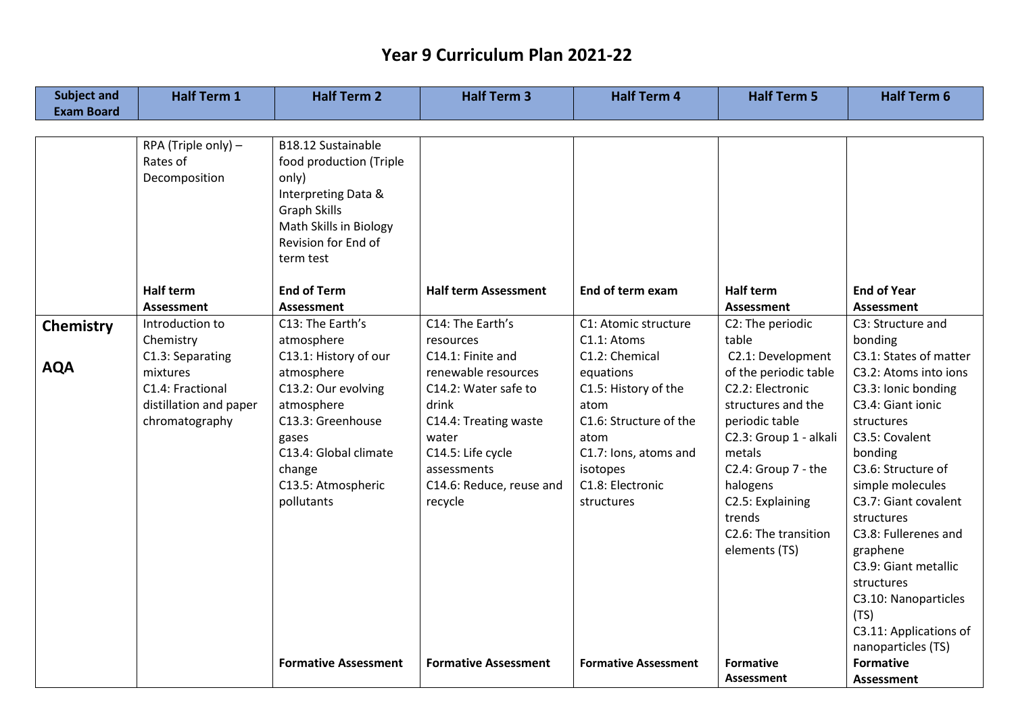| <b>Subject and</b> | <b>Half Term 1</b>           | <b>Half Term 2</b>                    | <b>Half Term 3</b>             | <b>Half Term 4</b>             | <b>Half Term 5</b>                        | <b>Half Term 6</b>            |
|--------------------|------------------------------|---------------------------------------|--------------------------------|--------------------------------|-------------------------------------------|-------------------------------|
| <b>Exam Board</b>  |                              |                                       |                                |                                |                                           |                               |
|                    |                              |                                       |                                |                                |                                           |                               |
|                    | RPA (Triple only) -          | B18.12 Sustainable                    |                                |                                |                                           |                               |
|                    | Rates of                     | food production (Triple               |                                |                                |                                           |                               |
|                    | Decomposition                | only)                                 |                                |                                |                                           |                               |
|                    |                              | Interpreting Data &                   |                                |                                |                                           |                               |
|                    |                              | <b>Graph Skills</b>                   |                                |                                |                                           |                               |
|                    |                              | Math Skills in Biology                |                                |                                |                                           |                               |
|                    |                              | Revision for End of                   |                                |                                |                                           |                               |
|                    |                              | term test                             |                                |                                |                                           |                               |
|                    | <b>Half term</b>             | <b>End of Term</b>                    | <b>Half term Assessment</b>    | End of term exam               | <b>Half term</b>                          | <b>End of Year</b>            |
|                    | <b>Assessment</b>            |                                       |                                |                                | <b>Assessment</b>                         | <b>Assessment</b>             |
|                    | Introduction to              | <b>Assessment</b><br>C13: The Earth's | C14: The Earth's               | C1: Atomic structure           |                                           | C3: Structure and             |
| <b>Chemistry</b>   |                              |                                       |                                | C1.1: Atoms                    | C2: The periodic<br>table                 | bonding                       |
|                    | Chemistry                    | atmosphere<br>C13.1: History of our   | resources<br>C14.1: Finite and | C1.2: Chemical                 | C2.1: Development                         | C3.1: States of matter        |
| <b>AQA</b>         | C1.3: Separating<br>mixtures | atmosphere                            | renewable resources            |                                |                                           | C3.2: Atoms into ions         |
|                    | C1.4: Fractional             |                                       |                                | equations                      | of the periodic table<br>C2.2: Electronic |                               |
|                    |                              | C13.2: Our evolving                   | C14.2: Water safe to<br>drink  | C1.5: History of the           |                                           | C3.3: Ionic bonding           |
|                    | distillation and paper       | atmosphere                            |                                | atom<br>C1.6: Structure of the | structures and the                        | C3.4: Giant ionic             |
|                    | chromatography               | C13.3: Greenhouse                     | C14.4: Treating waste          |                                | periodic table                            | structures                    |
|                    |                              | gases                                 | water                          | atom                           | C2.3: Group 1 - alkali<br>metals          | C3.5: Covalent                |
|                    |                              | C13.4: Global climate                 | C14.5: Life cycle              | C1.7: Ions, atoms and          |                                           | bonding<br>C3.6: Structure of |
|                    |                              | change                                | assessments                    | isotopes                       | C2.4: Group 7 - the                       |                               |
|                    |                              | C13.5: Atmospheric                    | C14.6: Reduce, reuse and       | C1.8: Electronic               | halogens                                  | simple molecules              |
|                    |                              | pollutants                            | recycle                        | structures                     | C2.5: Explaining                          | C3.7: Giant covalent          |
|                    |                              |                                       |                                |                                | trends                                    | structures                    |
|                    |                              |                                       |                                |                                | C2.6: The transition                      | C3.8: Fullerenes and          |
|                    |                              |                                       |                                |                                | elements (TS)                             | graphene                      |
|                    |                              |                                       |                                |                                |                                           | C3.9: Giant metallic          |
|                    |                              |                                       |                                |                                |                                           | structures                    |
|                    |                              |                                       |                                |                                |                                           | C3.10: Nanoparticles          |
|                    |                              |                                       |                                |                                |                                           | (TS)                          |
|                    |                              |                                       |                                |                                |                                           | C3.11: Applications of        |
|                    |                              |                                       |                                |                                |                                           | nanoparticles (TS)            |
|                    |                              | <b>Formative Assessment</b>           | <b>Formative Assessment</b>    | <b>Formative Assessment</b>    | <b>Formative</b>                          | <b>Formative</b>              |
|                    |                              |                                       |                                |                                | <b>Assessment</b>                         | <b>Assessment</b>             |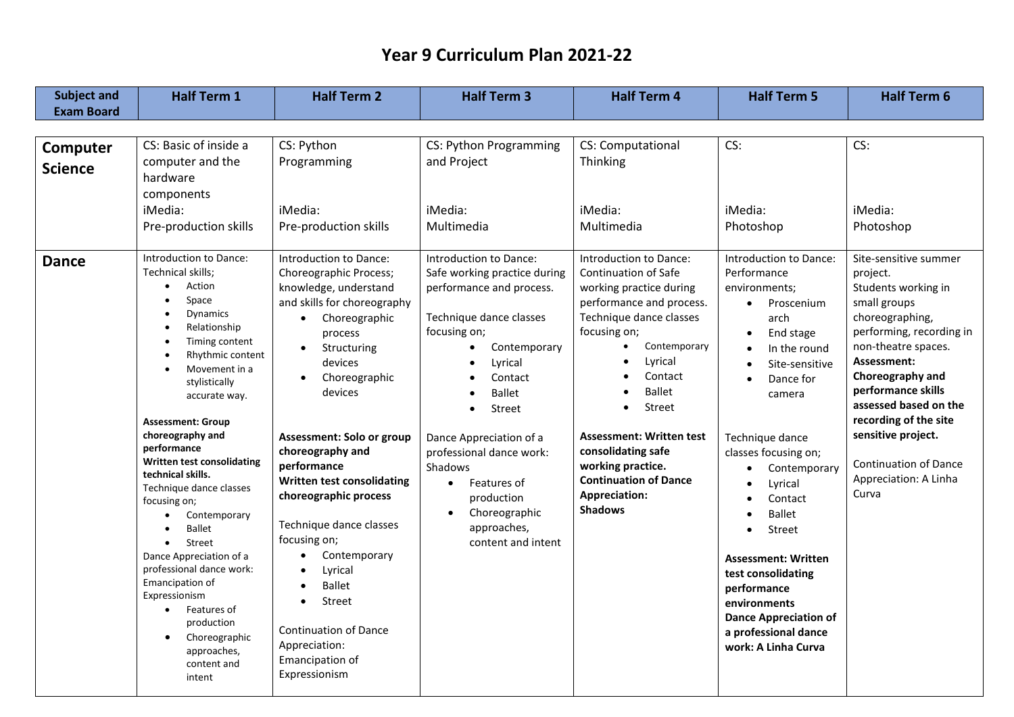| <b>Subject and</b>         | <b>Half Term 1</b>                                                                                                                                                                                                                                                                                                                                                                                                                                                                                                                                                                                                         | <b>Half Term 2</b>                                                                                                                                                                                                                                                                                                                                                                                                                                                                                                                                                                     | <b>Half Term 3</b>                                                                                                                                                                                                                                                                                                                                                                         | <b>Half Term 4</b>                                                                                                                                                                                                                                                                                                                                                                                                             | <b>Half Term 5</b>                                                                                                                                                                                                                                                                                                                                                                                                                                         | <b>Half Term 6</b>                                                                                                                                                                                                                                                                                                                                |
|----------------------------|----------------------------------------------------------------------------------------------------------------------------------------------------------------------------------------------------------------------------------------------------------------------------------------------------------------------------------------------------------------------------------------------------------------------------------------------------------------------------------------------------------------------------------------------------------------------------------------------------------------------------|----------------------------------------------------------------------------------------------------------------------------------------------------------------------------------------------------------------------------------------------------------------------------------------------------------------------------------------------------------------------------------------------------------------------------------------------------------------------------------------------------------------------------------------------------------------------------------------|--------------------------------------------------------------------------------------------------------------------------------------------------------------------------------------------------------------------------------------------------------------------------------------------------------------------------------------------------------------------------------------------|--------------------------------------------------------------------------------------------------------------------------------------------------------------------------------------------------------------------------------------------------------------------------------------------------------------------------------------------------------------------------------------------------------------------------------|------------------------------------------------------------------------------------------------------------------------------------------------------------------------------------------------------------------------------------------------------------------------------------------------------------------------------------------------------------------------------------------------------------------------------------------------------------|---------------------------------------------------------------------------------------------------------------------------------------------------------------------------------------------------------------------------------------------------------------------------------------------------------------------------------------------------|
| <b>Exam Board</b>          |                                                                                                                                                                                                                                                                                                                                                                                                                                                                                                                                                                                                                            |                                                                                                                                                                                                                                                                                                                                                                                                                                                                                                                                                                                        |                                                                                                                                                                                                                                                                                                                                                                                            |                                                                                                                                                                                                                                                                                                                                                                                                                                |                                                                                                                                                                                                                                                                                                                                                                                                                                                            |                                                                                                                                                                                                                                                                                                                                                   |
| Computer<br><b>Science</b> | CS: Basic of inside a<br>computer and the<br>hardware<br>components<br>iMedia:<br>Pre-production skills                                                                                                                                                                                                                                                                                                                                                                                                                                                                                                                    | CS: Python<br>Programming<br>iMedia:<br>Pre-production skills                                                                                                                                                                                                                                                                                                                                                                                                                                                                                                                          | CS: Python Programming<br>and Project<br>iMedia:<br>Multimedia                                                                                                                                                                                                                                                                                                                             | CS: Computational<br>Thinking<br>iMedia:<br>Multimedia                                                                                                                                                                                                                                                                                                                                                                         | CS:<br>iMedia:<br>Photoshop                                                                                                                                                                                                                                                                                                                                                                                                                                | CS:<br>iMedia:<br>Photoshop                                                                                                                                                                                                                                                                                                                       |
| <b>Dance</b>               | Introduction to Dance:<br>Technical skills;<br>Action<br>$\bullet$<br>Space<br><b>Dynamics</b><br>Relationship<br>Timing content<br>Rhythmic content<br>Movement in a<br>stylistically<br>accurate way.<br><b>Assessment: Group</b><br>choreography and<br>performance<br>Written test consolidating<br>technical skills.<br>Technique dance classes<br>focusing on;<br>Contemporary<br><b>Ballet</b><br>Street<br>$\bullet$<br>Dance Appreciation of a<br>professional dance work:<br>Emancipation of<br>Expressionism<br>Features of<br>$\bullet$<br>production<br>Choreographic<br>approaches,<br>content and<br>intent | Introduction to Dance:<br>Choreographic Process;<br>knowledge, understand<br>and skills for choreography<br>Choreographic<br>$\bullet$<br>process<br>Structuring<br>devices<br>Choreographic<br>devices<br>Assessment: Solo or group<br>choreography and<br>performance<br><b>Written test consolidating</b><br>choreographic process<br>Technique dance classes<br>focusing on;<br>Contemporary<br>$\bullet$<br>Lyrical<br>$\bullet$<br><b>Ballet</b><br>$\bullet$<br><b>Street</b><br>$\bullet$<br><b>Continuation of Dance</b><br>Appreciation:<br>Emancipation of<br>Expressionism | Introduction to Dance:<br>Safe working practice during<br>performance and process.<br>Technique dance classes<br>focusing on;<br>Contemporary<br>$\bullet$<br>Lyrical<br>Contact<br><b>Ballet</b><br>Street<br>$\bullet$<br>Dance Appreciation of a<br>professional dance work:<br>Shadows<br>Features of<br>$\bullet$<br>production<br>Choreographic<br>approaches,<br>content and intent | Introduction to Dance:<br><b>Continuation of Safe</b><br>working practice during<br>performance and process.<br>Technique dance classes<br>focusing on;<br>Contemporary<br>$\bullet$<br>Lyrical<br>$\bullet$<br>Contact<br><b>Ballet</b><br><b>Street</b><br>$\bullet$<br><b>Assessment: Written test</b><br>consolidating safe<br>working practice.<br><b>Continuation of Dance</b><br><b>Appreciation:</b><br><b>Shadows</b> | Introduction to Dance:<br>Performance<br>environments;<br>Proscenium<br>$\bullet$<br>arch<br>End stage<br>In the round<br>Site-sensitive<br>Dance for<br>camera<br>Technique dance<br>classes focusing on;<br>Contemporary<br>Lyrical<br>Contact<br><b>Ballet</b><br>Street<br>$\bullet$<br><b>Assessment: Written</b><br>test consolidating<br>performance<br>environments<br><b>Dance Appreciation of</b><br>a professional dance<br>work: A Linha Curva | Site-sensitive summer<br>project.<br>Students working in<br>small groups<br>choreographing,<br>performing, recording in<br>non-theatre spaces.<br>Assessment:<br>Choreography and<br>performance skills<br>assessed based on the<br>recording of the site<br>sensitive project.<br><b>Continuation of Dance</b><br>Appreciation: A Linha<br>Curva |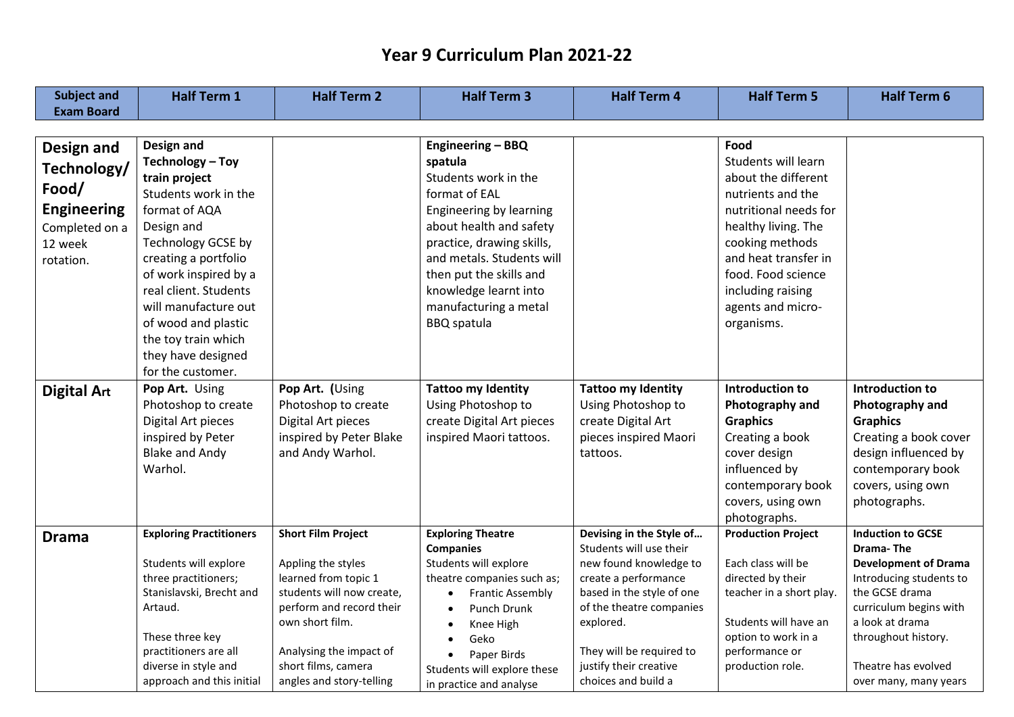| <b>Exam Board</b><br>Food<br>Design and<br>Engineering - BBQ<br>Design and                                                                                                                   |  |
|----------------------------------------------------------------------------------------------------------------------------------------------------------------------------------------------|--|
|                                                                                                                                                                                              |  |
|                                                                                                                                                                                              |  |
|                                                                                                                                                                                              |  |
| Technology - Toy<br>Students will learn<br>spatula<br>Technology/                                                                                                                            |  |
| Students work in the<br>about the different<br>train project                                                                                                                                 |  |
| Food/<br>Students work in the<br>format of EAL<br>nutrients and the                                                                                                                          |  |
| <b>Engineering</b><br>format of AQA<br>Engineering by learning<br>nutritional needs for                                                                                                      |  |
| about health and safety<br>healthy living. The<br>Design and<br>Completed on a                                                                                                               |  |
| Technology GCSE by<br>practice, drawing skills,<br>cooking methods<br>12 week                                                                                                                |  |
| creating a portfolio<br>and metals. Students will<br>and heat transfer in<br>rotation.                                                                                                       |  |
| of work inspired by a<br>then put the skills and<br>food. Food science                                                                                                                       |  |
| real client. Students<br>knowledge learnt into<br>including raising                                                                                                                          |  |
| will manufacture out<br>manufacturing a metal<br>agents and micro-                                                                                                                           |  |
| of wood and plastic<br><b>BBQ</b> spatula<br>organisms.                                                                                                                                      |  |
| the toy train which                                                                                                                                                                          |  |
| they have designed                                                                                                                                                                           |  |
| for the customer.                                                                                                                                                                            |  |
| Pop Art. Using<br>Pop Art. (Using<br><b>Tattoo my Identity</b><br><b>Tattoo my Identity</b><br><b>Introduction to</b><br><b>Introduction to</b><br><b>Digital Art</b>                        |  |
| Photoshop to create<br>Using Photoshop to<br>Using Photoshop to<br>Photoshop to create<br>Photography and<br>Photography and                                                                 |  |
| Digital Art pieces<br>Digital Art pieces<br>create Digital Art pieces<br>create Digital Art<br><b>Graphics</b><br><b>Graphics</b>                                                            |  |
| inspired by Peter<br>inspired by Peter Blake<br>inspired Maori tattoos.<br>pieces inspired Maori<br>Creating a book<br>Creating a book cover                                                 |  |
| <b>Blake and Andy</b><br>design influenced by<br>and Andy Warhol.<br>cover design<br>tattoos.                                                                                                |  |
| influenced by<br>Warhol.<br>contemporary book                                                                                                                                                |  |
| contemporary book<br>covers, using own                                                                                                                                                       |  |
| covers, using own<br>photographs.                                                                                                                                                            |  |
| photographs.                                                                                                                                                                                 |  |
| <b>Short Film Project</b><br><b>Exploring Theatre</b><br>Devising in the Style of<br><b>Production Project</b><br><b>Induction to GCSE</b><br><b>Exploring Practitioners</b><br><b>Drama</b> |  |
| Students will use their<br><b>Drama-The</b><br><b>Companies</b>                                                                                                                              |  |
| Students will explore<br>Appling the styles<br>Students will explore<br>new found knowledge to<br>Each class will be<br><b>Development of Drama</b>                                          |  |
| learned from topic 1<br>directed by their<br>three practitioners;<br>create a performance<br>Introducing students to<br>theatre companies such as;                                           |  |
| Stanislavski, Brecht and<br>students will now create,<br>based in the style of one<br>the GCSE drama<br>teacher in a short play.<br><b>Frantic Assembly</b><br>$\bullet$                     |  |
| perform and record their<br>Artaud.<br>of the theatre companies<br>curriculum begins with<br>Punch Drunk<br>$\bullet$                                                                        |  |
| own short film.<br>Students will have an<br>a look at drama<br>explored.<br>Knee High                                                                                                        |  |
| These three key<br>option to work in a<br>throughout history.<br>Geko<br>They will be required to<br>performance or<br>practitioners are all                                                 |  |
| Analysing the impact of<br>Paper Birds<br>diverse in style and<br>short films, camera<br>justify their creative<br>Theatre has evolved<br>production role.                                   |  |
| Students will explore these<br>choices and build a<br>approach and this initial<br>angles and story-telling<br>over many, many years<br>in practice and analyse                              |  |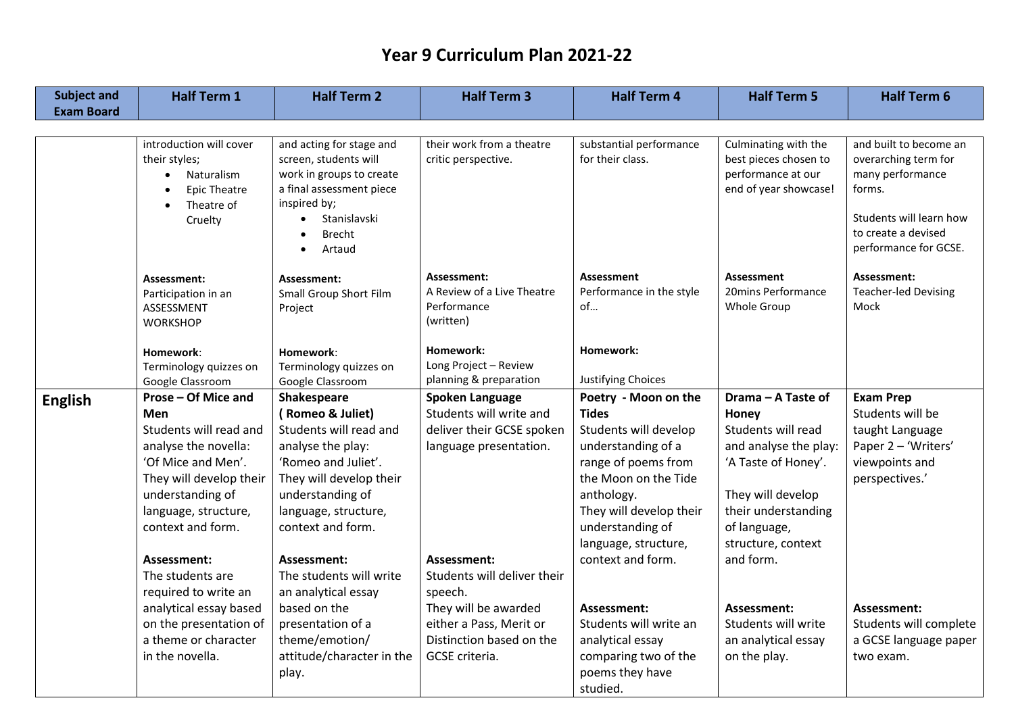| <b>Subject and</b> | <b>Half Term 1</b>      | <b>Half Term 2</b>                       | <b>Half Term 3</b>          | <b>Half Term 4</b>       | <b>Half Term 5</b>    | <b>Half Term 6</b>          |
|--------------------|-------------------------|------------------------------------------|-----------------------------|--------------------------|-----------------------|-----------------------------|
| <b>Exam Board</b>  |                         |                                          |                             |                          |                       |                             |
|                    |                         |                                          |                             |                          |                       |                             |
|                    | introduction will cover | and acting for stage and                 | their work from a theatre   | substantial performance  | Culminating with the  | and built to become an      |
|                    | their styles;           | screen, students will                    | critic perspective.         | for their class.         | best pieces chosen to | overarching term for        |
|                    | Naturalism<br>$\bullet$ | work in groups to create                 |                             |                          | performance at our    | many performance            |
|                    | <b>Epic Theatre</b>     | a final assessment piece<br>inspired by; |                             |                          | end of year showcase! | forms.                      |
|                    | Theatre of<br>Cruelty   | Stanislavski                             |                             |                          |                       | Students will learn how     |
|                    |                         | <b>Brecht</b>                            |                             |                          |                       | to create a devised         |
|                    |                         | Artaud                                   |                             |                          |                       | performance for GCSE.       |
|                    |                         |                                          |                             |                          |                       |                             |
|                    | Assessment:             | Assessment:                              | Assessment:                 | Assessment               | <b>Assessment</b>     | Assessment:                 |
|                    | Participation in an     | Small Group Short Film                   | A Review of a Live Theatre  | Performance in the style | 20mins Performance    | <b>Teacher-led Devising</b> |
|                    | ASSESSMENT              | Project                                  | Performance                 | of                       | Whole Group           | Mock                        |
|                    | <b>WORKSHOP</b>         |                                          | (written)                   |                          |                       |                             |
|                    | Homework:               | Homework:                                | Homework:                   | Homework:                |                       |                             |
|                    | Terminology quizzes on  | Terminology quizzes on                   | Long Project - Review       |                          |                       |                             |
|                    | Google Classroom        | Google Classroom                         | planning & preparation      | Justifying Choices       |                       |                             |
| <b>English</b>     | Prose - Of Mice and     | Shakespeare                              | Spoken Language             | Poetry - Moon on the     | Drama - A Taste of    | <b>Exam Prep</b>            |
|                    | Men                     | (Romeo & Juliet)                         | Students will write and     | <b>Tides</b>             | Honey                 | Students will be            |
|                    | Students will read and  | Students will read and                   | deliver their GCSE spoken   | Students will develop    | Students will read    | taught Language             |
|                    | analyse the novella:    | analyse the play:                        | language presentation.      | understanding of a       | and analyse the play: | Paper 2 - 'Writers'         |
|                    | 'Of Mice and Men'.      | 'Romeo and Juliet'.                      |                             | range of poems from      | 'A Taste of Honey'.   | viewpoints and              |
|                    | They will develop their | They will develop their                  |                             | the Moon on the Tide     |                       | perspectives.'              |
|                    | understanding of        | understanding of                         |                             | anthology.               | They will develop     |                             |
|                    | language, structure,    | language, structure,                     |                             | They will develop their  | their understanding   |                             |
|                    | context and form.       | context and form.                        |                             | understanding of         | of language,          |                             |
|                    |                         |                                          |                             | language, structure,     | structure, context    |                             |
|                    | Assessment:             | Assessment:                              | Assessment:                 | context and form.        | and form.             |                             |
|                    | The students are        | The students will write                  | Students will deliver their |                          |                       |                             |
|                    | required to write an    | an analytical essay                      | speech.                     |                          |                       |                             |
|                    | analytical essay based  | based on the                             | They will be awarded        | Assessment:              | Assessment:           | Assessment:                 |
|                    | on the presentation of  | presentation of a                        | either a Pass, Merit or     | Students will write an   | Students will write   | Students will complete      |
|                    | a theme or character    | theme/emotion/                           | Distinction based on the    | analytical essay         | an analytical essay   | a GCSE language paper       |
|                    | in the novella.         | attitude/character in the                | GCSE criteria.              | comparing two of the     | on the play.          | two exam.                   |
|                    |                         | play.                                    |                             | poems they have          |                       |                             |
|                    |                         |                                          |                             | studied.                 |                       |                             |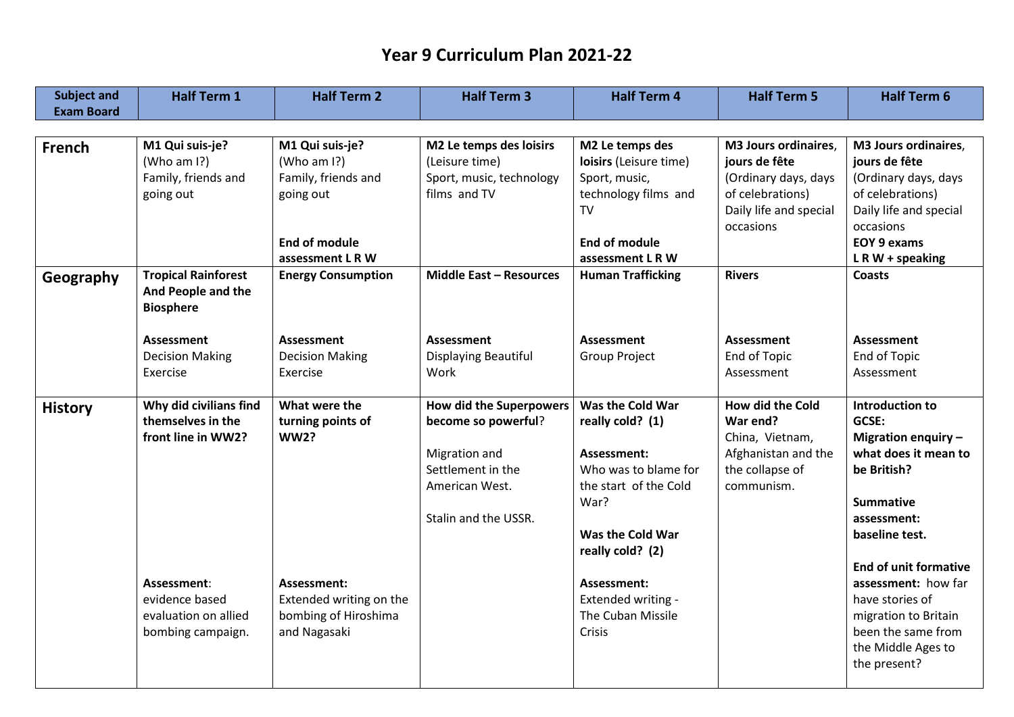| <b>Subject and</b> | <b>Half Term 1</b>                               | <b>Half Term 2</b>                     | <b>Half Term 3</b>             | <b>Half Term 4</b>                | <b>Half Term 5</b>      | <b>Half Term 6</b>                                  |
|--------------------|--------------------------------------------------|----------------------------------------|--------------------------------|-----------------------------------|-------------------------|-----------------------------------------------------|
| <b>Exam Board</b>  |                                                  |                                        |                                |                                   |                         |                                                     |
|                    |                                                  |                                        |                                |                                   |                         |                                                     |
| <b>French</b>      | M1 Qui suis-je?                                  | M1 Qui suis-je?                        | M2 Le temps des loisirs        | M2 Le temps des                   | M3 Jours ordinaires,    | M3 Jours ordinaires,                                |
|                    | (Who am I?)                                      | (Who am I?)                            | (Leisure time)                 | loisirs (Leisure time)            | jours de fête           | jours de fête                                       |
|                    | Family, friends and                              | Family, friends and                    | Sport, music, technology       | Sport, music,                     | (Ordinary days, days    | (Ordinary days, days                                |
|                    | going out                                        | going out                              | films and TV                   | technology films and              | of celebrations)        | of celebrations)                                    |
|                    |                                                  |                                        |                                | <b>TV</b>                         | Daily life and special  | Daily life and special                              |
|                    |                                                  |                                        |                                |                                   | occasions               | occasions                                           |
|                    |                                                  | <b>End of module</b>                   |                                | <b>End of module</b>              |                         | <b>EOY 9 exams</b>                                  |
|                    |                                                  | assessment L R W                       |                                | assessment L R W                  |                         | $LR W + speaking$                                   |
| Geography          | <b>Tropical Rainforest</b><br>And People and the | <b>Energy Consumption</b>              | <b>Middle East - Resources</b> | <b>Human Trafficking</b>          | <b>Rivers</b>           | <b>Coasts</b>                                       |
|                    | <b>Biosphere</b>                                 |                                        |                                |                                   |                         |                                                     |
|                    |                                                  |                                        |                                |                                   |                         |                                                     |
|                    | <b>Assessment</b>                                | <b>Assessment</b>                      | <b>Assessment</b>              | <b>Assessment</b>                 | <b>Assessment</b>       | <b>Assessment</b>                                   |
|                    | <b>Decision Making</b>                           | <b>Decision Making</b>                 | Displaying Beautiful           | <b>Group Project</b>              | End of Topic            | End of Topic                                        |
|                    | Exercise                                         | Exercise                               | Work                           |                                   | Assessment              | Assessment                                          |
|                    |                                                  |                                        |                                |                                   |                         |                                                     |
| <b>History</b>     | Why did civilians find                           | What were the                          | <b>How did the Superpowers</b> | Was the Cold War                  | <b>How did the Cold</b> | <b>Introduction to</b>                              |
|                    | themselves in the                                | turning points of                      | become so powerful?            | really cold? (1)                  | War end?                | GCSE:                                               |
|                    | front line in WW2?                               | <b>WW2?</b>                            |                                |                                   | China, Vietnam,         | Migration enquiry -                                 |
|                    |                                                  |                                        | Migration and                  | Assessment:                       | Afghanistan and the     | what does it mean to                                |
|                    |                                                  |                                        | Settlement in the              | Who was to blame for              | the collapse of         | be British?                                         |
|                    |                                                  |                                        | American West.                 | the start of the Cold             | communism.              |                                                     |
|                    |                                                  |                                        |                                | War?                              |                         | <b>Summative</b>                                    |
|                    |                                                  |                                        | Stalin and the USSR.           |                                   |                         | assessment:                                         |
|                    |                                                  |                                        |                                | Was the Cold War                  |                         | baseline test.                                      |
|                    |                                                  |                                        |                                | really cold? (2)                  |                         |                                                     |
|                    |                                                  |                                        |                                |                                   |                         | <b>End of unit formative</b><br>assessment: how far |
|                    | Assessment:<br>evidence based                    | Assessment:<br>Extended writing on the |                                | Assessment:<br>Extended writing - |                         | have stories of                                     |
|                    | evaluation on allied                             | bombing of Hiroshima                   |                                | The Cuban Missile                 |                         | migration to Britain                                |
|                    | bombing campaign.                                | and Nagasaki                           |                                | Crisis                            |                         | been the same from                                  |
|                    |                                                  |                                        |                                |                                   |                         | the Middle Ages to                                  |
|                    |                                                  |                                        |                                |                                   |                         | the present?                                        |
|                    |                                                  |                                        |                                |                                   |                         |                                                     |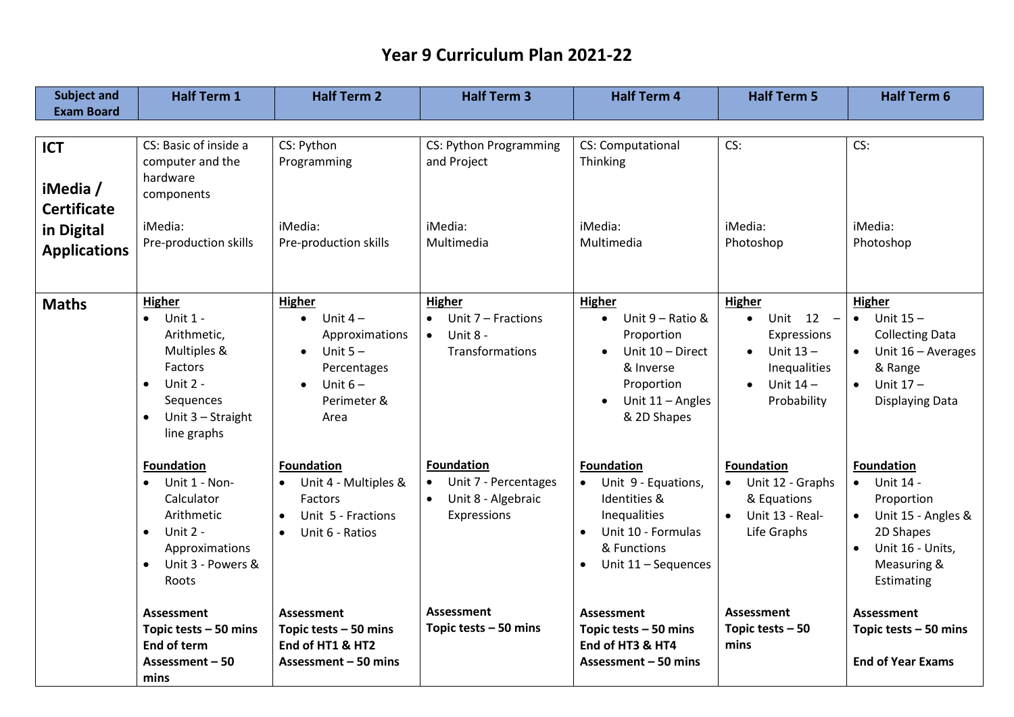| <b>Subject and</b><br><b>Exam Board</b>                                           | <b>Half Term 1</b>                                                                                                                                               | <b>Half Term 2</b>                                                                                                                            | <b>Half Term 3</b>                                                                          | <b>Half Term 4</b>                                                                                                                                             | <b>Half Term 5</b>                                                                                  | <b>Half Term 6</b>                                                                                                                                                      |
|-----------------------------------------------------------------------------------|------------------------------------------------------------------------------------------------------------------------------------------------------------------|-----------------------------------------------------------------------------------------------------------------------------------------------|---------------------------------------------------------------------------------------------|----------------------------------------------------------------------------------------------------------------------------------------------------------------|-----------------------------------------------------------------------------------------------------|-------------------------------------------------------------------------------------------------------------------------------------------------------------------------|
|                                                                                   |                                                                                                                                                                  |                                                                                                                                               |                                                                                             |                                                                                                                                                                |                                                                                                     |                                                                                                                                                                         |
| <b>ICT</b><br>iMedia /<br><b>Certificate</b><br>in Digital<br><b>Applications</b> | CS: Basic of inside a<br>computer and the<br>hardware<br>components<br>iMedia:<br>Pre-production skills                                                          | CS: Python<br>Programming<br>iMedia:<br>Pre-production skills                                                                                 | CS: Python Programming<br>and Project<br>iMedia:<br>Multimedia                              | CS: Computational<br>Thinking<br>iMedia:<br>Multimedia                                                                                                         | CS:<br>iMedia:<br>Photoshop                                                                         | CS:<br>iMedia:<br>Photoshop                                                                                                                                             |
| <b>Maths</b>                                                                      | Higher<br><b>Unit 1 -</b><br>Arithmetic,<br>Multiples &<br><b>Factors</b><br>Unit 2 -<br>$\bullet$<br>Sequences<br>Unit 3 - Straight<br>$\bullet$<br>line graphs | Higher<br>Unit $4-$<br>$\bullet$<br>Approximations<br>Unit $5 -$<br>$\bullet$<br>Percentages<br>Unit $6-$<br>$\bullet$<br>Perimeter &<br>Area | <b>Higher</b><br>Unit 7 - Fractions<br>Unit 8 -<br>$\bullet$<br>Transformations             | Higher<br>Unit 9 - Ratio &<br>Proportion<br>Unit 10 - Direct<br>& Inverse<br>Proportion<br>Unit 11 - Angles<br>& 2D Shapes                                     | Higher<br>Unit 12 -<br>Expressions<br>Unit $13 -$<br>Inequalities<br>Unit $14 -$<br>Probability     | <b>Higher</b><br>$\bullet$ Unit 15 -<br><b>Collecting Data</b><br>Unit $16 -$ Averages<br>& Range<br>Unit $17 -$<br>Displaying Data                                     |
|                                                                                   | <b>Foundation</b><br>Unit 1 - Non-<br>Calculator<br>Arithmetic<br>Unit 2 -<br>$\bullet$<br>Approximations<br>Unit 3 - Powers &<br>$\bullet$<br>Roots             | <b>Foundation</b><br>Unit 4 - Multiples &<br><b>Factors</b><br>Unit 5 - Fractions<br>$\bullet$<br>Unit 6 - Ratios<br>$\bullet$                | <b>Foundation</b><br>Unit 7 - Percentages<br>Unit 8 - Algebraic<br>$\bullet$<br>Expressions | <b>Foundation</b><br>Unit 9 - Equations,<br>$\bullet$<br>Identities &<br>Inequalities<br>Unit 10 - Formulas<br>& Functions<br>Unit 11 - Sequences<br>$\bullet$ | <b>Foundation</b><br>Unit 12 - Graphs<br>& Equations<br>Unit 13 - Real-<br>$\bullet$<br>Life Graphs | <b>Foundation</b><br>Unit 14 -<br>$\bullet$<br>Proportion<br>Unit 15 - Angles &<br>$\bullet$<br>2D Shapes<br>Unit 16 - Units,<br>$\bullet$<br>Measuring &<br>Estimating |
|                                                                                   | Assessment<br>Topic tests $-50$ mins<br>End of term<br>Assessment - 50<br>mins                                                                                   | Assessment<br>Topic tests - 50 mins<br>End of HT1 & HT2<br>Assessment - 50 mins                                                               | <b>Assessment</b><br>Topic tests $-50$ mins                                                 | Assessment<br>Topic tests - 50 mins<br>End of HT3 & HT4<br>Assessment - 50 mins                                                                                | <b>Assessment</b><br>Topic tests $-50$<br>mins                                                      | <b>Assessment</b><br>Topic tests $-50$ mins<br><b>End of Year Exams</b>                                                                                                 |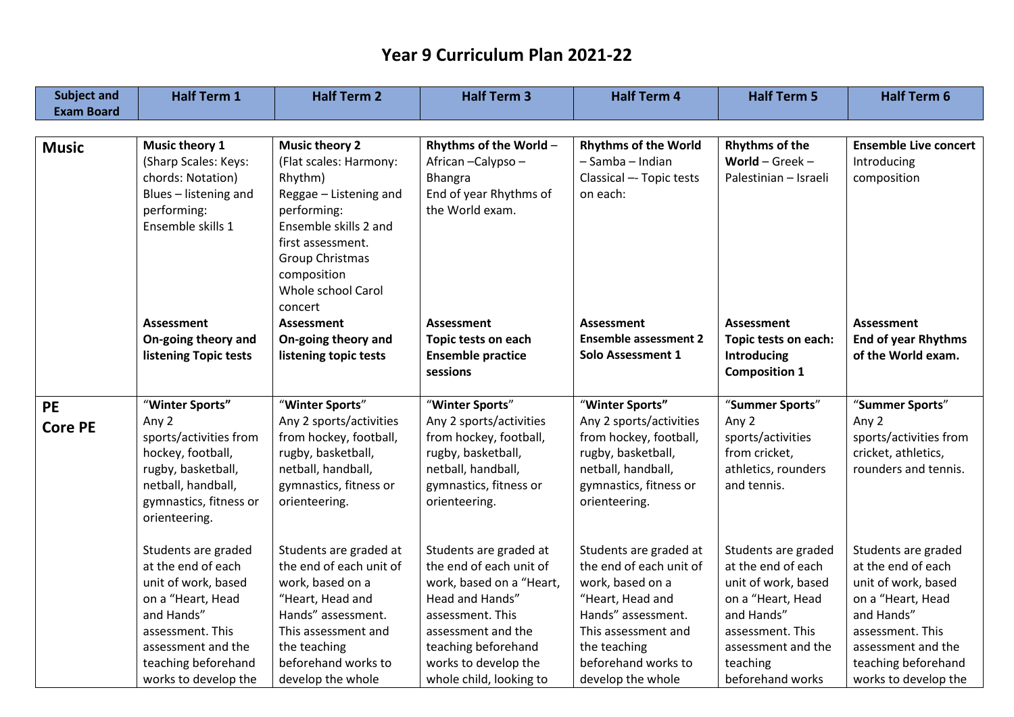| <b>Subject and</b> | <b>Half Term 1</b>           | <b>Half Term 2</b>      | <b>Half Term 3</b>       | <b>Half Term 4</b>           | <b>Half Term 5</b>    | <b>Half Term 6</b>           |
|--------------------|------------------------------|-------------------------|--------------------------|------------------------------|-----------------------|------------------------------|
| <b>Exam Board</b>  |                              |                         |                          |                              |                       |                              |
|                    |                              |                         |                          |                              |                       |                              |
| <b>Music</b>       | Music theory 1               | <b>Music theory 2</b>   | Rhythms of the World -   | <b>Rhythms of the World</b>  | <b>Rhythms of the</b> | <b>Ensemble Live concert</b> |
|                    | (Sharp Scales: Keys:         | (Flat scales: Harmony:  | African-Calypso-         | - Samba - Indian             | World $-$ Greek $-$   | Introducing                  |
|                    | chords: Notation)            | Rhythm)                 | <b>Bhangra</b>           | Classical -- Topic tests     | Palestinian – Israeli | composition                  |
|                    | Blues - listening and        | Reggae - Listening and  | End of year Rhythms of   | on each:                     |                       |                              |
|                    | performing:                  | performing:             | the World exam.          |                              |                       |                              |
|                    | Ensemble skills 1            | Ensemble skills 2 and   |                          |                              |                       |                              |
|                    |                              | first assessment.       |                          |                              |                       |                              |
|                    |                              | <b>Group Christmas</b>  |                          |                              |                       |                              |
|                    |                              | composition             |                          |                              |                       |                              |
|                    |                              | Whole school Carol      |                          |                              |                       |                              |
|                    |                              | concert                 |                          |                              |                       |                              |
|                    | Assessment                   | <b>Assessment</b>       | <b>Assessment</b>        | <b>Assessment</b>            | Assessment            | Assessment                   |
|                    | On-going theory and          | On-going theory and     | Topic tests on each      | <b>Ensemble assessment 2</b> | Topic tests on each:  | <b>End of year Rhythms</b>   |
|                    | <b>listening Topic tests</b> | listening topic tests   | <b>Ensemble practice</b> | Solo Assessment 1            | Introducing           | of the World exam.           |
|                    |                              |                         | sessions                 |                              | <b>Composition 1</b>  |                              |
| <b>PE</b>          | "Winter Sports"              | "Winter Sports"         | "Winter Sports"          | "Winter Sports"              | "Summer Sports"       | "Summer Sports"              |
|                    | Any 2                        | Any 2 sports/activities | Any 2 sports/activities  | Any 2 sports/activities      | Any 2                 | Any 2                        |
| <b>Core PE</b>     | sports/activities from       | from hockey, football,  | from hockey, football,   | from hockey, football,       | sports/activities     | sports/activities from       |
|                    | hockey, football,            | rugby, basketball,      | rugby, basketball,       | rugby, basketball,           | from cricket,         | cricket, athletics,          |
|                    | rugby, basketball,           | netball, handball,      | netball, handball,       | netball, handball,           | athletics, rounders   | rounders and tennis.         |
|                    | netball, handball,           | gymnastics, fitness or  | gymnastics, fitness or   | gymnastics, fitness or       | and tennis.           |                              |
|                    | gymnastics, fitness or       | orienteering.           | orienteering.            | orienteering.                |                       |                              |
|                    | orienteering.                |                         |                          |                              |                       |                              |
|                    |                              |                         |                          |                              |                       |                              |
|                    | Students are graded          | Students are graded at  | Students are graded at   | Students are graded at       | Students are graded   | Students are graded          |
|                    | at the end of each           | the end of each unit of | the end of each unit of  | the end of each unit of      | at the end of each    | at the end of each           |
|                    | unit of work, based          | work, based on a        | work, based on a "Heart, | work, based on a             | unit of work, based   | unit of work, based          |
|                    | on a "Heart, Head            | "Heart, Head and        | Head and Hands"          | "Heart, Head and             | on a "Heart, Head     | on a "Heart, Head            |
|                    | and Hands"                   | Hands" assessment.      | assessment. This         | Hands" assessment.           | and Hands"            | and Hands"                   |
|                    | assessment. This             | This assessment and     | assessment and the       | This assessment and          | assessment. This      | assessment. This             |
|                    | assessment and the           | the teaching            | teaching beforehand      | the teaching                 | assessment and the    | assessment and the           |
|                    | teaching beforehand          | beforehand works to     | works to develop the     | beforehand works to          | teaching              | teaching beforehand          |
|                    | works to develop the         | develop the whole       | whole child, looking to  | develop the whole            | beforehand works      | works to develop the         |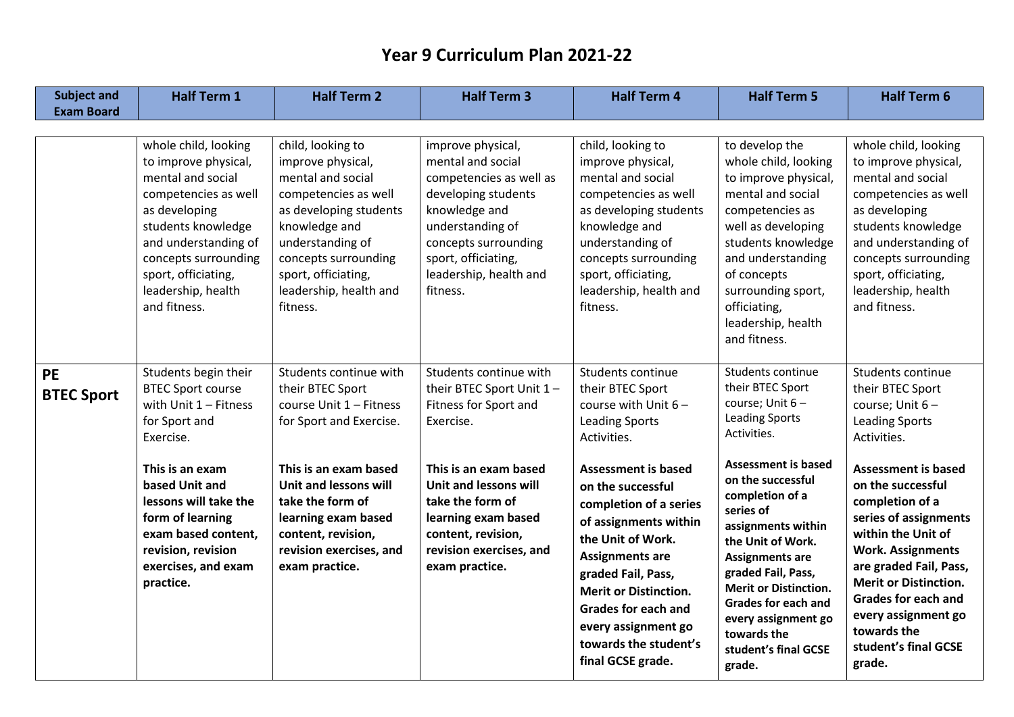| <b>Subject and</b>             | <b>Half Term 1</b>                                                                                                                                                                                                                            | <b>Half Term 2</b>                                                                                                                                                                                                                      | <b>Half Term 3</b>                                                                                                                                                                                                 | <b>Half Term 4</b>                                                                                                                                                                                                                                                                                         | <b>Half Term 5</b>                                                                                                                                                                                                                                                                                               | <b>Half Term 6</b>                                                                                                                                                                                                                                                                                            |
|--------------------------------|-----------------------------------------------------------------------------------------------------------------------------------------------------------------------------------------------------------------------------------------------|-----------------------------------------------------------------------------------------------------------------------------------------------------------------------------------------------------------------------------------------|--------------------------------------------------------------------------------------------------------------------------------------------------------------------------------------------------------------------|------------------------------------------------------------------------------------------------------------------------------------------------------------------------------------------------------------------------------------------------------------------------------------------------------------|------------------------------------------------------------------------------------------------------------------------------------------------------------------------------------------------------------------------------------------------------------------------------------------------------------------|---------------------------------------------------------------------------------------------------------------------------------------------------------------------------------------------------------------------------------------------------------------------------------------------------------------|
| <b>Exam Board</b>              |                                                                                                                                                                                                                                               |                                                                                                                                                                                                                                         |                                                                                                                                                                                                                    |                                                                                                                                                                                                                                                                                                            |                                                                                                                                                                                                                                                                                                                  |                                                                                                                                                                                                                                                                                                               |
|                                | whole child, looking<br>to improve physical,<br>mental and social<br>competencies as well<br>as developing<br>students knowledge<br>and understanding of<br>concepts surrounding<br>sport, officiating,<br>leadership, health<br>and fitness. | child, looking to<br>improve physical,<br>mental and social<br>competencies as well<br>as developing students<br>knowledge and<br>understanding of<br>concepts surrounding<br>sport, officiating,<br>leadership, health and<br>fitness. | improve physical,<br>mental and social<br>competencies as well as<br>developing students<br>knowledge and<br>understanding of<br>concepts surrounding<br>sport, officiating,<br>leadership, health and<br>fitness. | child, looking to<br>improve physical,<br>mental and social<br>competencies as well<br>as developing students<br>knowledge and<br>understanding of<br>concepts surrounding<br>sport, officiating,<br>leadership, health and<br>fitness.                                                                    | to develop the<br>whole child, looking<br>to improve physical,<br>mental and social<br>competencies as<br>well as developing<br>students knowledge<br>and understanding<br>of concepts<br>surrounding sport,<br>officiating,<br>leadership, health<br>and fitness.                                               | whole child, looking<br>to improve physical,<br>mental and social<br>competencies as well<br>as developing<br>students knowledge<br>and understanding of<br>concepts surrounding<br>sport, officiating,<br>leadership, health<br>and fitness.                                                                 |
| <b>PE</b><br><b>BTEC Sport</b> | Students begin their<br><b>BTEC Sport course</b><br>with Unit $1 -$ Fitness<br>for Sport and<br>Exercise.                                                                                                                                     | Students continue with<br>their BTEC Sport<br>course Unit 1 - Fitness<br>for Sport and Exercise.                                                                                                                                        | Students continue with<br>their BTEC Sport Unit 1-<br>Fitness for Sport and<br>Exercise.                                                                                                                           | Students continue<br>their BTEC Sport<br>course with Unit $6 -$<br><b>Leading Sports</b><br>Activities.                                                                                                                                                                                                    | Students continue<br>their BTEC Sport<br>course; Unit 6-<br><b>Leading Sports</b><br>Activities.                                                                                                                                                                                                                 | Students continue<br>their BTEC Sport<br>course; Unit 6-<br><b>Leading Sports</b><br>Activities.                                                                                                                                                                                                              |
|                                | This is an exam<br>based Unit and<br>lessons will take the<br>form of learning<br>exam based content,<br>revision, revision<br>exercises, and exam<br>practice.                                                                               | This is an exam based<br>Unit and lessons will<br>take the form of<br>learning exam based<br>content, revision,<br>revision exercises, and<br>exam practice.                                                                            | This is an exam based<br>Unit and lessons will<br>take the form of<br>learning exam based<br>content, revision,<br>revision exercises, and<br>exam practice.                                                       | <b>Assessment is based</b><br>on the successful<br>completion of a series<br>of assignments within<br>the Unit of Work.<br><b>Assignments are</b><br>graded Fail, Pass,<br><b>Merit or Distinction.</b><br><b>Grades for each and</b><br>every assignment go<br>towards the student's<br>final GCSE grade. | <b>Assessment is based</b><br>on the successful<br>completion of a<br>series of<br>assignments within<br>the Unit of Work.<br><b>Assignments are</b><br>graded Fail, Pass,<br><b>Merit or Distinction.</b><br><b>Grades for each and</b><br>every assignment go<br>towards the<br>student's final GCSE<br>grade. | <b>Assessment is based</b><br>on the successful<br>completion of a<br>series of assignments<br>within the Unit of<br><b>Work. Assignments</b><br>are graded Fail, Pass,<br><b>Merit or Distinction.</b><br><b>Grades for each and</b><br>every assignment go<br>towards the<br>student's final GCSE<br>grade. |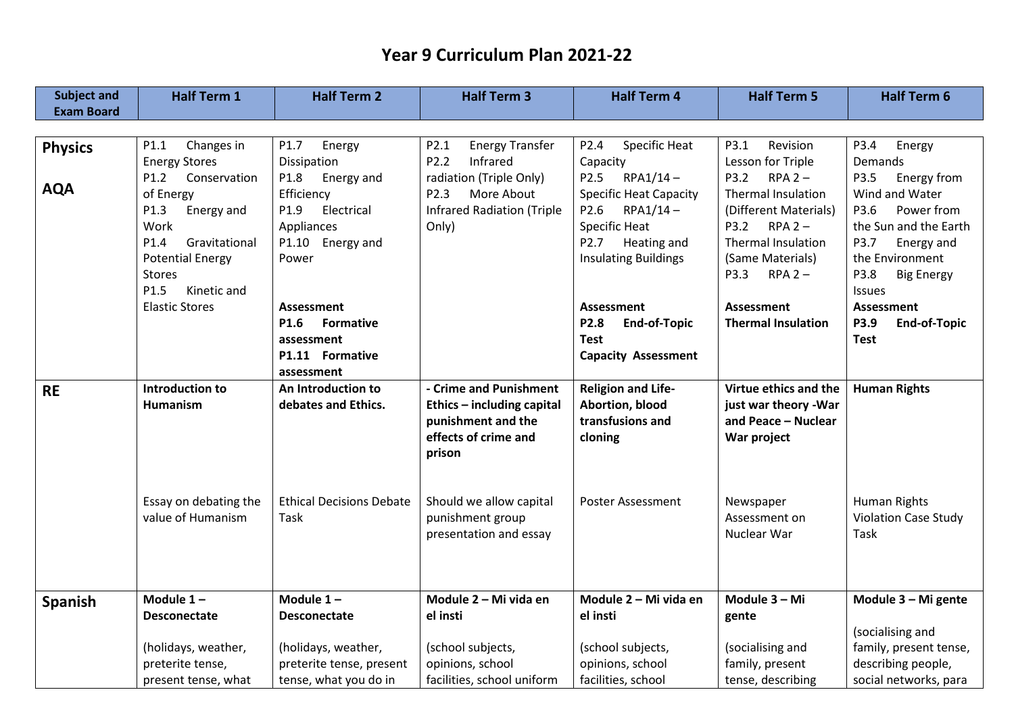| <b>Subject and</b> | <b>Half Term 1</b>      | <b>Half Term 2</b>              | <b>Half Term 3</b>                | <b>Half Term 4</b>                | <b>Half Term 5</b>        | <b>Half Term 6</b>          |
|--------------------|-------------------------|---------------------------------|-----------------------------------|-----------------------------------|---------------------------|-----------------------------|
| <b>Exam Board</b>  |                         |                                 |                                   |                                   |                           |                             |
|                    |                         |                                 |                                   |                                   |                           |                             |
| <b>Physics</b>     | Changes in<br>P1.1      | P1.7<br>Energy                  | P2.1<br><b>Energy Transfer</b>    | Specific Heat<br>P <sub>2.4</sub> | Revision<br>P3.1          | P3.4<br>Energy              |
|                    | <b>Energy Stores</b>    | Dissipation                     | P2.2<br>Infrared                  | Capacity                          | Lesson for Triple         | Demands                     |
|                    | P1.2<br>Conservation    | P1.8<br>Energy and              | radiation (Triple Only)           | P <sub>2.5</sub><br>$RPA1/14-$    | $P3.2$ RPA 2-             | Energy from<br>P3.5         |
| <b>AQA</b>         | of Energy               | Efficiency                      | P <sub>2.3</sub><br>More About    | <b>Specific Heat Capacity</b>     | <b>Thermal Insulation</b> | Wind and Water              |
|                    | P1.3<br>Energy and      | P <sub>1.9</sub><br>Electrical  | <b>Infrared Radiation (Triple</b> | P2.6<br>$RPA1/14-$                | (Different Materials)     | P3.6<br>Power from          |
|                    | Work                    | Appliances                      | Only)                             | <b>Specific Heat</b>              | $P3.2$ RPA 2-             | the Sun and the Earth       |
|                    | P1.4<br>Gravitational   | P1.10 Energy and                |                                   | P <sub>2.7</sub><br>Heating and   | <b>Thermal Insulation</b> | P3.7<br>Energy and          |
|                    | <b>Potential Energy</b> | Power                           |                                   | <b>Insulating Buildings</b>       | (Same Materials)          | the Environment             |
|                    | <b>Stores</b>           |                                 |                                   |                                   | P3.3<br>$RPA2-$           | P3.8<br><b>Big Energy</b>   |
|                    | P1.5<br>Kinetic and     |                                 |                                   |                                   |                           | <b>Issues</b>               |
|                    | <b>Elastic Stores</b>   | Assessment                      |                                   | <b>Assessment</b>                 | Assessment                | Assessment                  |
|                    |                         | P1.6<br><b>Formative</b>        |                                   | P2.8<br><b>End-of-Topic</b>       | <b>Thermal Insulation</b> | P3.9<br><b>End-of-Topic</b> |
|                    |                         | assessment                      |                                   | <b>Test</b>                       |                           | <b>Test</b>                 |
|                    |                         | P1.11 Formative                 |                                   | <b>Capacity Assessment</b>        |                           |                             |
|                    |                         | assessment                      |                                   |                                   |                           |                             |
| <b>RE</b>          | Introduction to         | An Introduction to              | - Crime and Punishment            | <b>Religion and Life-</b>         | Virtue ethics and the     | <b>Human Rights</b>         |
|                    | <b>Humanism</b>         | debates and Ethics.             | Ethics - including capital        | Abortion, blood                   | just war theory - War     |                             |
|                    |                         |                                 | punishment and the                | transfusions and                  | and Peace - Nuclear       |                             |
|                    |                         |                                 | effects of crime and              | cloning                           | War project               |                             |
|                    |                         |                                 | prison                            |                                   |                           |                             |
|                    |                         |                                 |                                   |                                   |                           |                             |
|                    |                         |                                 |                                   |                                   |                           |                             |
|                    | Essay on debating the   | <b>Ethical Decisions Debate</b> | Should we allow capital           | <b>Poster Assessment</b>          | Newspaper                 | Human Rights                |
|                    | value of Humanism       | Task                            | punishment group                  |                                   | Assessment on             | <b>Violation Case Study</b> |
|                    |                         |                                 | presentation and essay            |                                   | Nuclear War               | Task                        |
|                    |                         |                                 |                                   |                                   |                           |                             |
|                    |                         |                                 |                                   |                                   |                           |                             |
|                    | Module $1 -$            | Module $1 -$                    | Module 2 - Mi vida en             | Module 2 - Mi vida en             | Module 3 - Mi             |                             |
| <b>Spanish</b>     |                         |                                 |                                   |                                   |                           | Module 3 - Mi gente         |
|                    | <b>Desconectate</b>     | <b>Desconectate</b>             | el insti                          | el insti                          | gente                     |                             |
|                    |                         |                                 |                                   |                                   |                           | (socialising and            |
|                    | (holidays, weather,     | (holidays, weather,             | (school subjects,                 | (school subjects,                 | (socialising and          | family, present tense,      |
|                    | preterite tense,        | preterite tense, present        | opinions, school                  | opinions, school                  | family, present           | describing people,          |
|                    | present tense, what     | tense, what you do in           | facilities, school uniform        | facilities, school                | tense, describing         | social networks, para       |